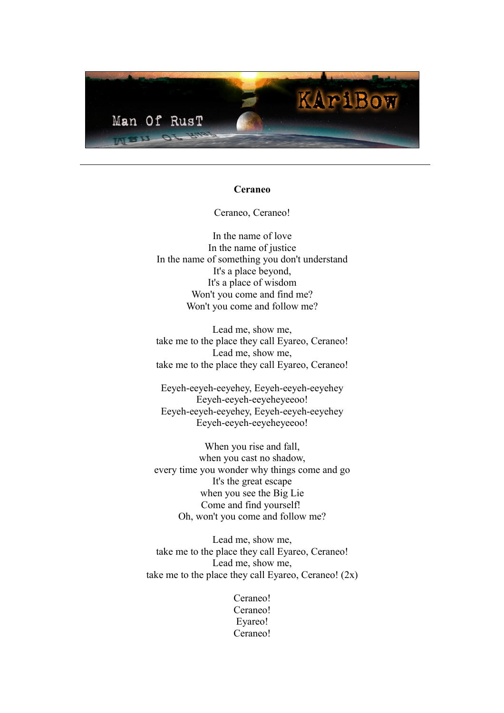

### **Ceraneo**

Ceraneo, Ceraneo!

In the name of love In the name of justice In the name of something you don't understand It's a place beyond, It's a place of wisdom Won't you come and find me? Won't you come and follow me?

Lead me, show me, take me to the place they call Eyareo, Ceraneo! Lead me, show me, take me to the place they call Eyareo, Ceraneo!

Eeyeh-eeyeh-eeyehey, Eeyeh-eeyeh-eeyehey Eeyeh-eeyeh-eeyeheyeeoo! Eeyeh-eeyeh-eeyehey, Eeyeh-eeyeh-eeyehey Eeyeh-eeyeh-eeyeheyeeoo!

When you rise and fall, when you cast no shadow, every time you wonder why things come and go It's the great escape when you see the Big Lie Come and find yourself! Oh, won't you come and follow me?

Lead me, show me, take me to the place they call Eyareo, Ceraneo! Lead me, show me, take me to the place they call Eyareo, Ceraneo!  $(2x)$ 

> Ceraneo! Ceraneo! Eyareo! Ceraneo!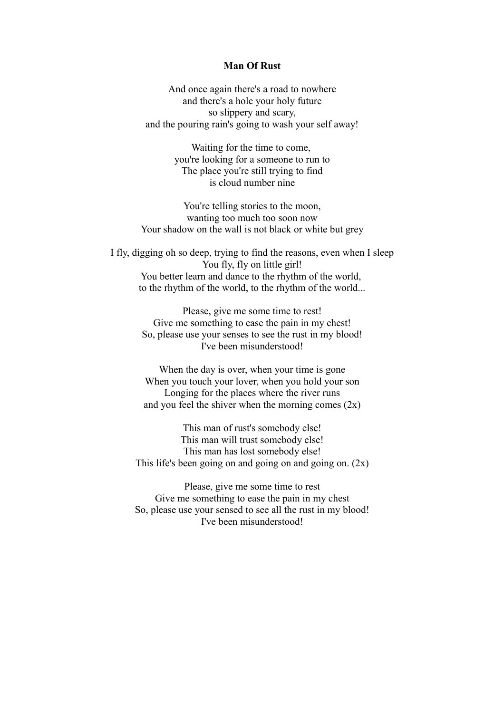## **Man Of Rust**

And once again there's a road to nowhere and there's a hole your holy future so slippery and scary, and the pouring rain's going to wash your self away!

> Waiting for the time to come, you're looking for a someone to run to The place you're still trying to find is cloud number nine

You're telling stories to the moon, wanting too much too soon now Your shadow on the wall is not black or white but grey

I fly, digging oh so deep, trying to find the reasons, even when I sleep You fly, fly on little girl! You better learn and dance to the rhythm of the world, to the rhythm of the world, to the rhythm of the world...

> Please, give me some time to rest! Give me something to ease the pain in my chest! So, please use your senses to see the rust in my blood! I've been misunderstood!

> When the day is over, when your time is gone When you touch your lover, when you hold your son Longing for the places where the river runs and you feel the shiver when the morning comes  $(2x)$

This man of rust's somebody else! This man will trust somebody else! This man has lost somebody else! This life's been going on and going on and going on.  $(2x)$ 

Please, give me some time to rest Give me something to ease the pain in my chest So, please use your sensed to see all the rust in my blood! I've been misunderstood!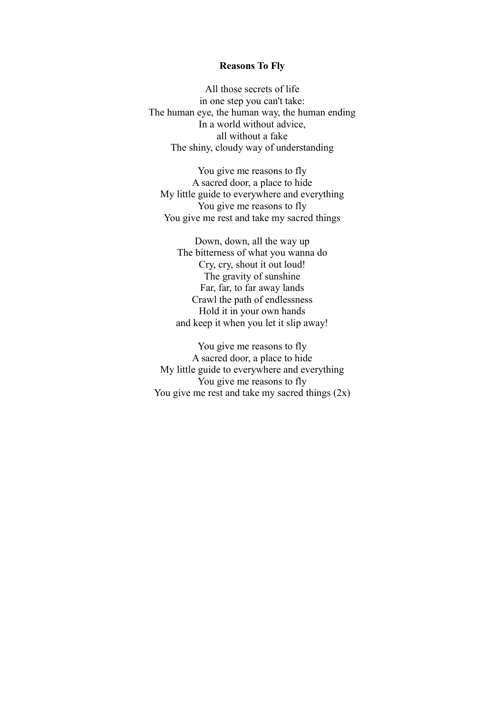### **Reasons To Fly**

All those secrets of life in one step you can't take: The human eye, the human way, the human ending In a world without advice, all without a fake The shiny, cloudy way of understanding

You give me reasons to fly A sacred door, a place to hide My little guide to everywhere and everything You give me reasons to fly You give me rest and take my sacred things

Down, down, all the way up The bitterness of what you wanna do Cry, cry, shout it out loud! The gravity of sunshine Far, far, to far away lands Crawl the path of endlessness Hold it in your own hands and keep it when you let it slip away!

You give me reasons to fly A sacred door, a place to hide My little guide to everywhere and everything You give me reasons to fly You give me rest and take my sacred things  $(2x)$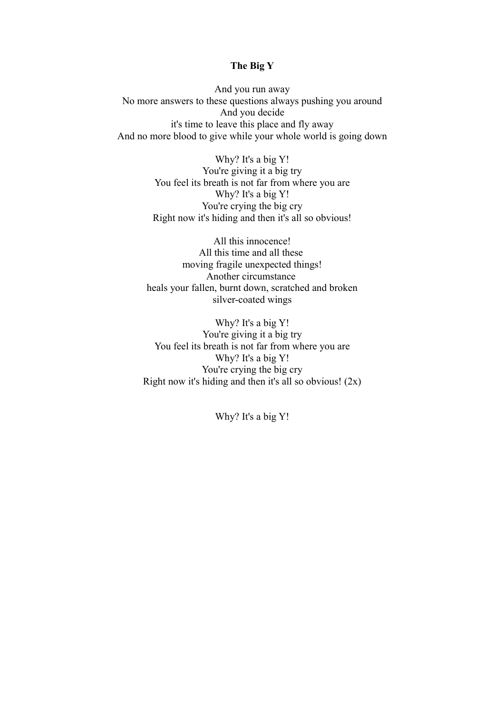# **The Big Y**

And you run away No more answers to these questions always pushing you around And you decide it's time to leave this place and fly away And no more blood to give while your whole world is going down

> Why? It's a big Y! You're giving it a big try You feel its breath is not far from where you are Why? It's a big Y! You're crying the big cry Right now it's hiding and then it's all so obvious!

All this innocence! All this time and all these moving fragile unexpected things! Another circumstance heals your fallen, burnt down, scratched and broken silver-coated wings

Why? It's a big Y! You're giving it a big try You feel its breath is not far from where you are Why? It's a big Y! You're crying the big cry Right now it's hiding and then it's all so obvious!  $(2x)$ 

Why? It's a big Y!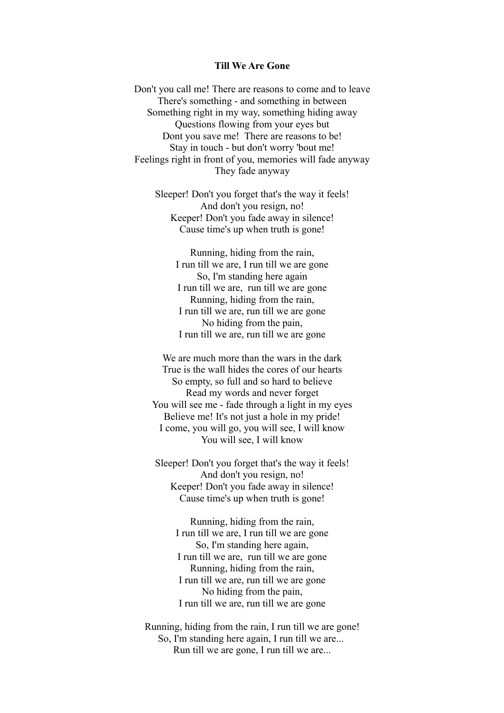## **Till We Are Gone**

Don't you call me! There are reasons to come and to leave There's something - and something in between Something right in my way, something hiding away Questions flowing from your eyes but Dont you save me! There are reasons to be! Stay in touch - but don't worry 'bout me! Feelings right in front of you, memories will fade anyway They fade anyway

Sleeper! Don't you forget that's the way it feels! And don't you resign, no! Keeper! Don't you fade away in silence! Cause time's up when truth is gone!

Running, hiding from the rain, I run till we are, I run till we are gone So, I'm standing here again I run till we are, run till we are gone Running, hiding from the rain, I run till we are, run till we are gone No hiding from the pain, I run till we are, run till we are gone

We are much more than the wars in the dark True is the wall hides the cores of our hearts So empty, so full and so hard to believe Read my words and never forget You will see me - fade through a light in my eyes Believe me! It's not just a hole in my pride! I come, you will go, you will see, I will know You will see, I will know

Sleeper! Don't you forget that's the way it feels! And don't you resign, no! Keeper! Don't you fade away in silence! Cause time's up when truth is gone!

> Running, hiding from the rain, I run till we are, I run till we are gone So, I'm standing here again, I run till we are, run till we are gone Running, hiding from the rain, I run till we are, run till we are gone No hiding from the pain, I run till we are, run till we are gone

Running, hiding from the rain, I run till we are gone! So, I'm standing here again, I run till we are... Run till we are gone, I run till we are...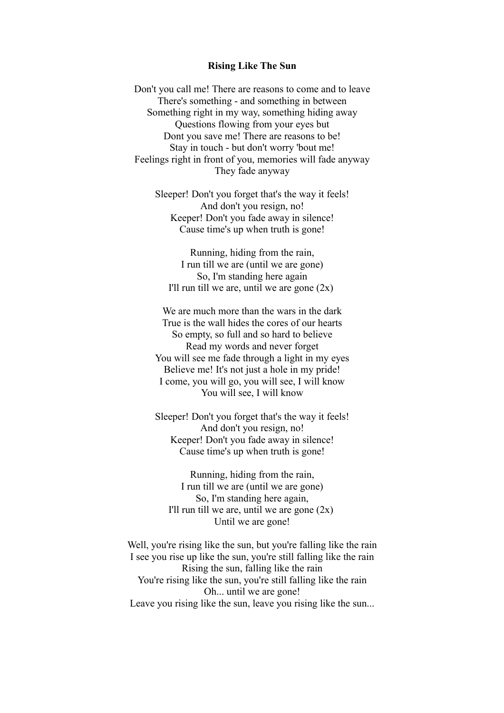## **Rising Like The Sun**

Don't you call me! There are reasons to come and to leave There's something - and something in between Something right in my way, something hiding away Questions flowing from your eyes but Dont you save me! There are reasons to be! Stay in touch - but don't worry 'bout me! Feelings right in front of you, memories will fade anyway They fade anyway

Sleeper! Don't you forget that's the way it feels! And don't you resign, no! Keeper! Don't you fade away in silence! Cause time's up when truth is gone!

Running, hiding from the rain, I run till we are (until we are gone) So, I'm standing here again I'll run till we are, until we are gone  $(2x)$ 

We are much more than the wars in the dark True is the wall hides the cores of our hearts So empty, so full and so hard to believe Read my words and never forget You will see me fade through a light in my eyes Believe me! It's not just a hole in my pride! I come, you will go, you will see, I will know You will see, I will know

Sleeper! Don't you forget that's the way it feels! And don't you resign, no! Keeper! Don't you fade away in silence! Cause time's up when truth is gone!

Running, hiding from the rain, I run till we are (until we are gone) So, I'm standing here again, I'll run till we are, until we are gone  $(2x)$ Until we are gone!

Well, you're rising like the sun, but you're falling like the rain I see you rise up like the sun, you're still falling like the rain Rising the sun, falling like the rain You're rising like the sun, you're still falling like the rain Oh... until we are gone! Leave you rising like the sun, leave you rising like the sun...